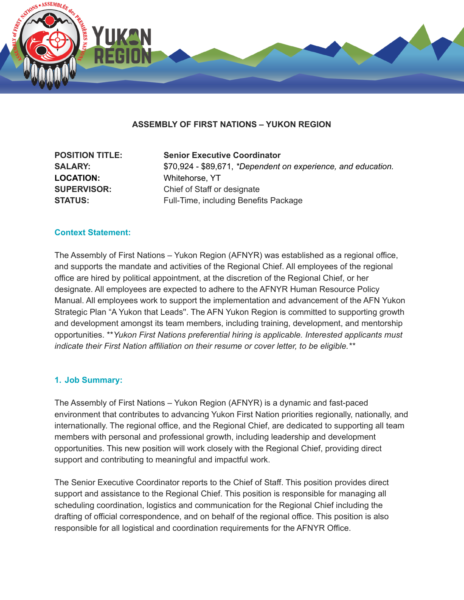

## **ASSEMBLY OF FIRST NATIONS – YUKON REGION**

| <b>POSITION TITLE:</b> | <b>Senior Executive Coordinator</b>                           |
|------------------------|---------------------------------------------------------------|
| <b>SALARY:</b>         | \$70,924 - \$89,671, *Dependent on experience, and education. |
| <b>LOCATION:</b>       | Whitehorse, YT                                                |
| <b>SUPERVISOR:</b>     | Chief of Staff or designate                                   |
| <b>STATUS:</b>         | Full-Time, including Benefits Package                         |

#### **Context Statement:**

The Assembly of First Nations – Yukon Region (AFNYR) was established as a regional office, and supports the mandate and activities of the Regional Chief. All employees of the regional office are hired by political appointment, at the discretion of the Regional Chief, or her designate. All employees are expected to adhere to the AFNYR Human Resource Policy Manual. All employees work to support the implementation and advancement of the AFN Yukon Strategic Plan "A Yukon that Leads''. The AFN Yukon Region is committed to supporting growth and development amongst its team members, including training, development, and mentorship opportunities. \*\**Yukon First Nations preferential hiring is applicable. Interested applicants must indicate their First Nation affiliation on their resume or cover letter, to be eligible.\*\**

#### **1. Job Summary:**

The Assembly of First Nations – Yukon Region (AFNYR) is a dynamic and fast-paced environment that contributes to advancing Yukon First Nation priorities regionally, nationally, and internationally. The regional office, and the Regional Chief, are dedicated to supporting all team members with personal and professional growth, including leadership and development opportunities. This new position will work closely with the Regional Chief, providing direct support and contributing to meaningful and impactful work.

The Senior Executive Coordinator reports to the Chief of Staff. This position provides direct support and assistance to the Regional Chief. This position is responsible for managing all scheduling coordination, logistics and communication for the Regional Chief including the drafting of official correspondence, and on behalf of the regional office. This position is also responsible for all logistical and coordination requirements for the AFNYR Office.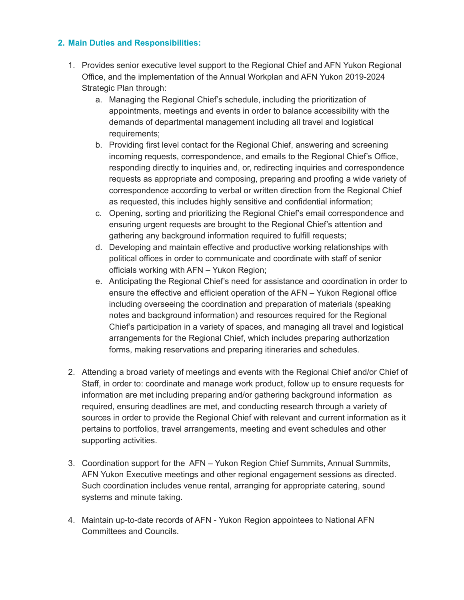# **2. Main Duties and Responsibilities:**

- 1. Provides senior executive level support to the Regional Chief and AFN Yukon Regional Office, and the implementation of the Annual Workplan and AFN Yukon 2019-2024 Strategic Plan through:
	- a. Managing the Regional Chief's schedule, including the prioritization of appointments, meetings and events in order to balance accessibility with the demands of departmental management including all travel and logistical requirements;
	- b. Providing first level contact for the Regional Chief, answering and screening incoming requests, correspondence, and emails to the Regional Chief's Office, responding directly to inquiries and, or, redirecting inquiries and correspondence requests as appropriate and composing, preparing and proofing a wide variety of correspondence according to verbal or written direction from the Regional Chief as requested, this includes highly sensitive and confidential information;
	- c. Opening, sorting and prioritizing the Regional Chief's email correspondence and ensuring urgent requests are brought to the Regional Chief's attention and gathering any background information required to fulfill requests;
	- d. Developing and maintain effective and productive working relationships with political offices in order to communicate and coordinate with staff of senior officials working with AFN – Yukon Region;
	- e. Anticipating the Regional Chief's need for assistance and coordination in order to ensure the effective and efficient operation of the AFN – Yukon Regional office including overseeing the coordination and preparation of materials (speaking notes and background information) and resources required for the Regional Chief's participation in a variety of spaces, and managing all travel and logistical arrangements for the Regional Chief, which includes preparing authorization forms, making reservations and preparing itineraries and schedules.
- 2. Attending a broad variety of meetings and events with the Regional Chief and/or Chief of Staff, in order to: coordinate and manage work product, follow up to ensure requests for information are met including preparing and/or gathering background information as required, ensuring deadlines are met, and conducting research through a variety of sources in order to provide the Regional Chief with relevant and current information as it pertains to portfolios, travel arrangements, meeting and event schedules and other supporting activities.
- 3. Coordination support for the AFN Yukon Region Chief Summits, Annual Summits, AFN Yukon Executive meetings and other regional engagement sessions as directed. Such coordination includes venue rental, arranging for appropriate catering, sound systems and minute taking.
- 4. Maintain up-to-date records of AFN Yukon Region appointees to National AFN Committees and Councils.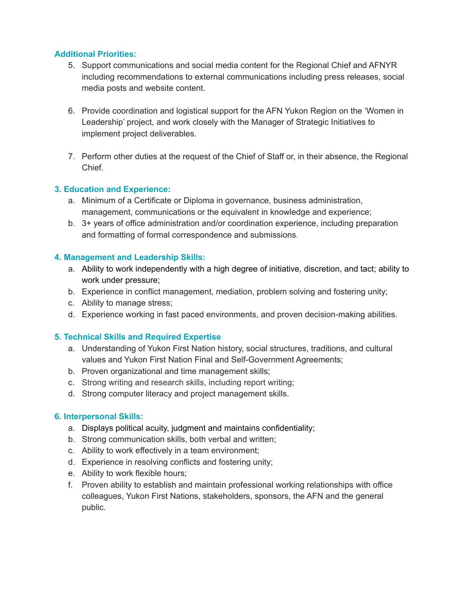## **Additional Priorities:**

- 5. Support communications and social media content for the Regional Chief and AFNYR including recommendations to external communications including press releases, social media posts and website content.
- 6. Provide coordination and logistical support for the AFN Yukon Region on the 'Women in Leadership' project, and work closely with the Manager of Strategic Initiatives to implement project deliverables.
- 7. Perform other duties at the request of the Chief of Staff or, in their absence, the Regional **Chief**

## **3. Education and Experience:**

- a. Minimum of a Certificate or Diploma in governance, business administration, management, communications or the equivalent in knowledge and experience;
- b. 3+ years of office administration and/or coordination experience, including preparation and formatting of formal correspondence and submissions.

## **4. Management and Leadership Skills:**

- a. Ability to work independently with a high degree of initiative, discretion, and tact; ability to work under pressure;
- b. Experience in conflict management, mediation, problem solving and fostering unity;
- c. Ability to manage stress;
- d. Experience working in fast paced environments, and proven decision-making abilities.

# **5. Technical Skills and Required Expertise**

- a. Understanding of Yukon First Nation history, social structures, traditions, and cultural values and Yukon First Nation Final and Self-Government Agreements;
- b. Proven organizational and time management skills;
- c. Strong writing and research skills, including report writing;
- d. Strong computer literacy and project management skills.

#### **6. Interpersonal Skills:**

- a. Displays political acuity, judgment and maintains confidentiality;
- b. Strong communication skills, both verbal and written;
- c. Ability to work effectively in a team environment;
- d. Experience in resolving conflicts and fostering unity;
- e. Ability to work flexible hours;
- f. Proven ability to establish and maintain professional working relationships with office colleagues, Yukon First Nations, stakeholders, sponsors, the AFN and the general public.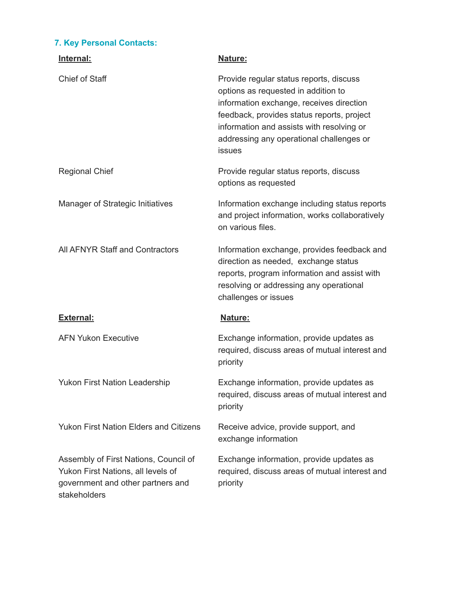# **7. Key Personal Contacts:**

| Internal:                                                                                                                        | Nature:                                                                                                                                                                                                                                                                            |
|----------------------------------------------------------------------------------------------------------------------------------|------------------------------------------------------------------------------------------------------------------------------------------------------------------------------------------------------------------------------------------------------------------------------------|
| <b>Chief of Staff</b>                                                                                                            | Provide regular status reports, discuss<br>options as requested in addition to<br>information exchange, receives direction<br>feedback, provides status reports, project<br>information and assists with resolving or<br>addressing any operational challenges or<br><b>issues</b> |
| <b>Regional Chief</b>                                                                                                            | Provide regular status reports, discuss<br>options as requested                                                                                                                                                                                                                    |
| Manager of Strategic Initiatives                                                                                                 | Information exchange including status reports<br>and project information, works collaboratively<br>on various files.                                                                                                                                                               |
| All AFNYR Staff and Contractors                                                                                                  | Information exchange, provides feedback and<br>direction as needed, exchange status<br>reports, program information and assist with<br>resolving or addressing any operational<br>challenges or issues                                                                             |
| <b>External:</b>                                                                                                                 | Nature:                                                                                                                                                                                                                                                                            |
| <b>AFN Yukon Executive</b>                                                                                                       | Exchange information, provide updates as<br>required, discuss areas of mutual interest and<br>priority                                                                                                                                                                             |
| <b>Yukon First Nation Leadership</b>                                                                                             | Exchange information, provide updates as<br>required, discuss areas of mutual interest and<br>priority                                                                                                                                                                             |
| <b>Yukon First Nation Elders and Citizens</b>                                                                                    | Receive advice, provide support, and<br>exchange information                                                                                                                                                                                                                       |
| Assembly of First Nations, Council of<br>Yukon First Nations, all levels of<br>government and other partners and<br>stakeholders | Exchange information, provide updates as<br>required, discuss areas of mutual interest and<br>priority                                                                                                                                                                             |